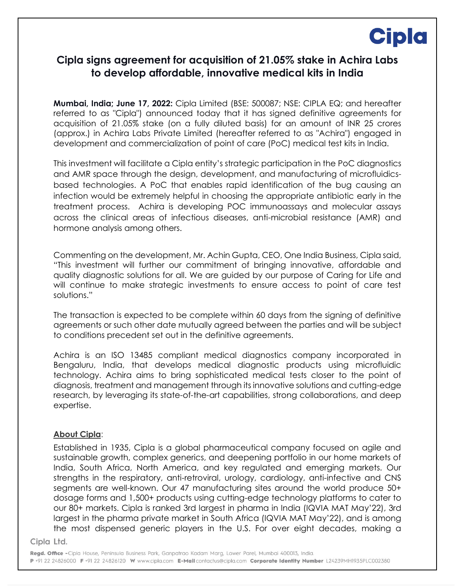# **Cipla**

### **Cipla signs agreement for acquisition of 21.05% stake in Achira Labs to develop affordable, innovative medical kits in India**

**Mumbai, India; June 17, 2022:** Cipla Limited (BSE: 500087; NSE: CIPLA EQ; and hereafter referred to as "Cipla") announced today that it has signed definitive agreements for acquisition of 21.05% stake (on a fully diluted basis) for an amount of INR 25 crores (approx.) in Achira Labs Private Limited (hereafter referred to as "Achira") engaged in development and commercialization of point of care (PoC) medical test kits in India.

This investment will facilitate a Cipla entity's strategic participation in the PoC diagnostics and AMR space through the design, development, and manufacturing of microfluidicsbased technologies. A PoC that enables rapid identification of the bug causing an infection would be extremely helpful in choosing the appropriate antibiotic early in the treatment process. Achira is developing POC immunoassays and molecular assays across the clinical areas of infectious diseases, anti-microbial resistance (AMR) and hormone analysis among others.

Commenting on the development, Mr. Achin Gupta, CEO, One India Business, Cipla said, "This investment will further our commitment of bringing innovative, affordable and quality diagnostic solutions for all. We are guided by our purpose of Caring for Life and will continue to make strategic investments to ensure access to point of care test solutions."

The transaction is expected to be complete within 60 days from the signing of definitive agreements or such other date mutually agreed between the parties and will be subject to conditions precedent set out in the definitive agreements.

Achira is an ISO 13485 compliant medical diagnostics company incorporated in Bengaluru, India, that develops medical diagnostic products using microfluidic technology. Achira aims to bring sophisticated medical tests closer to the point of diagnosis, treatment and management through its innovative solutions and cutting-edge research, by leveraging its state-of-the-art capabilities, strong collaborations, and deep expertise.

### **About Cipla**:

Established in 1935, Cipla is a global pharmaceutical company focused on agile and sustainable growth, complex generics, and deepening portfolio in our home markets of India, South Africa, North America, and key regulated and emerging markets. Our strengths in the respiratory, anti-retroviral, urology, cardiology, anti-infective and CNS segments are well-known. Our 47 manufacturing sites around the world produce 50+ dosage forms and 1,500+ products using cutting-edge technology platforms to cater to our 80+ markets. Cipla is ranked 3rd largest in pharma in India (IQVIA MAT May'22), 3rd largest in the pharma private market in South Africa (IQVIA MAT May'22), and is among the most dispensed generic players in the U.S. For over eight decades, making a

#### Cipla Ltd.

Regd. Office - Cipla House, Peninsula Business Park, Ganpatrao Kadam Mara, Lower Parel, Mumbai 400013, India. P +91 22 24826000 F +91 22 24826120 W www.cipla.com E-Mail contactus@cipla.com Corporate Identity Number L24239MH1935PLC002380